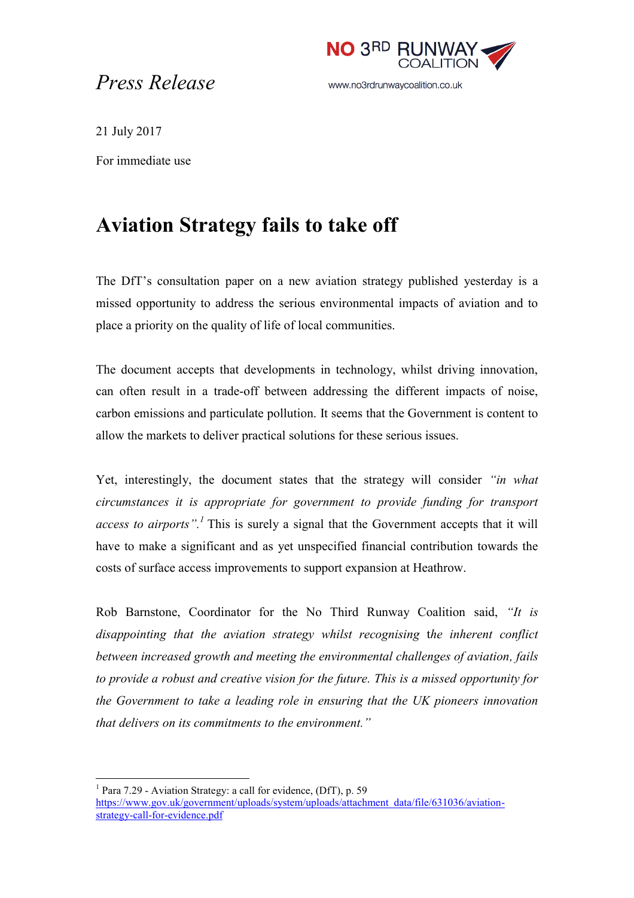## *Press Release*



21 July 2017

 $\overline{a}$ 

For immediate use

## **Aviation Strategy fails to take off**

The DfT's consultation paper on a new aviation strategy published yesterday is a missed opportunity to address the serious environmental impacts of aviation and to place a priority on the quality of life of local communities.

The document accepts that developments in technology, whilst driving innovation, can often result in a trade-off between addressing the different impacts of noise, carbon emissions and particulate pollution. It seems that the Government is content to allow the markets to deliver practical solutions for these serious issues.

Yet, interestingly, the document states that the strategy will consider *"in what circumstances it is appropriate for government to provide funding for transport access to airports".<sup>1</sup>* This is surely a signal that the Government accepts that it will have to make a significant and as yet unspecified financial contribution towards the costs of surface access improvements to support expansion at Heathrow.

Rob Barnstone, Coordinator for the No Third Runway Coalition said, *"It is disappointing that the aviation strategy whilst recognising* t*he inherent conflict between increased growth and meeting the environmental challenges of aviation, fails to provide a robust and creative vision for the future. This is a missed opportunity for the Government to take a leading role in ensuring that the UK pioneers innovation that delivers on its commitments to the environment."* 

<sup>&</sup>lt;sup>1</sup> Para 7.29 - Aviation Strategy: a call for evidence, (DfT), p. 59 [https://www.gov.uk/government/uploads/system/uploads/attachment\\_data/file/631036/aviation](https://www.gov.uk/government/uploads/system/uploads/attachment_data/file/631036/aviation-strategy-call-for-evidence.pdf)[strategy-call-for-evidence.pdf](https://www.gov.uk/government/uploads/system/uploads/attachment_data/file/631036/aviation-strategy-call-for-evidence.pdf)